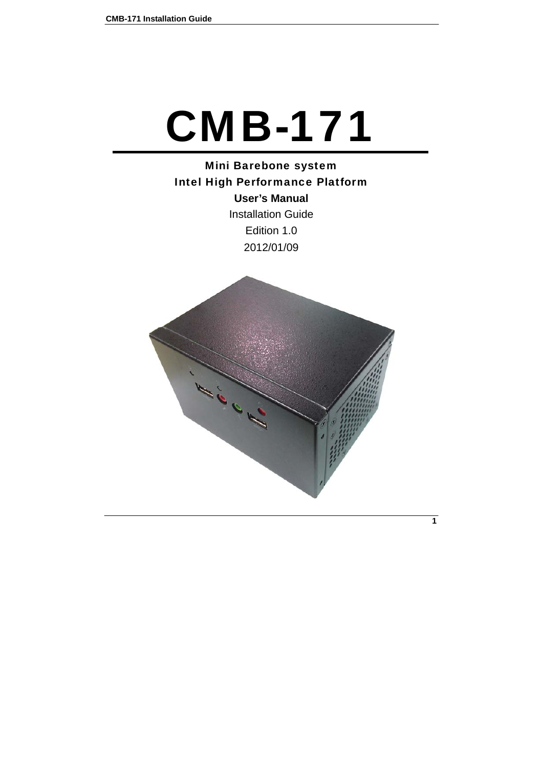# CMB-171

## Mini Barebone system Intel High Performance Platform **User's Manual**  Installation Guide Edition 1.0 2012/01/09

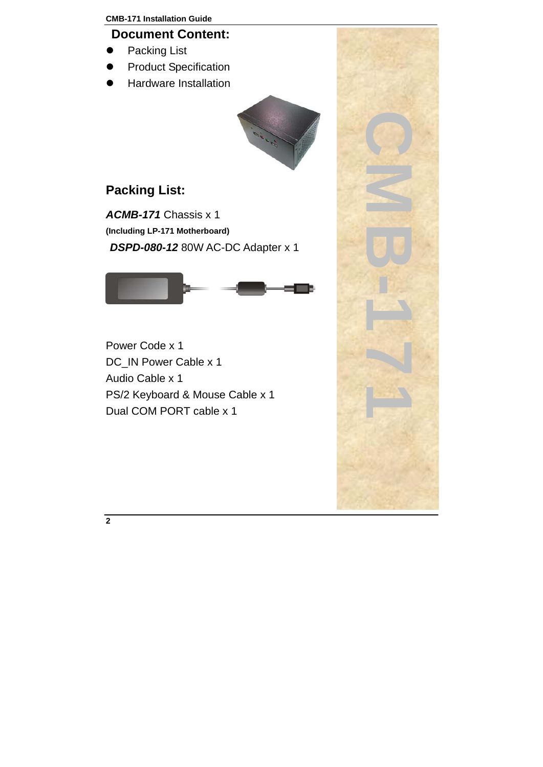#### **Document Content:**

- Packing List
- **•** Product Specification
- Hardware Installation



## **Packing List:**

*ACMB-171* Chassis x 1 **(Including LP-171 Motherboard)**  *DSPD-080-12* 80W AC-DC Adapter x 1



Power Code x 1 DC\_IN Power Cable x 1 Audio Cable x 1 PS/2 Keyboard & Mouse Cable x 1 Dual COM PORT cable x 1

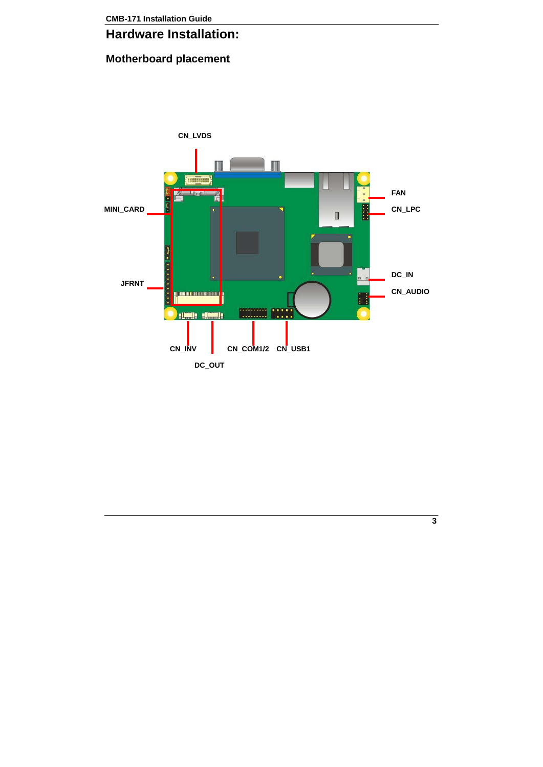#### **Hardware Installation:**

### **Motherboard placement**

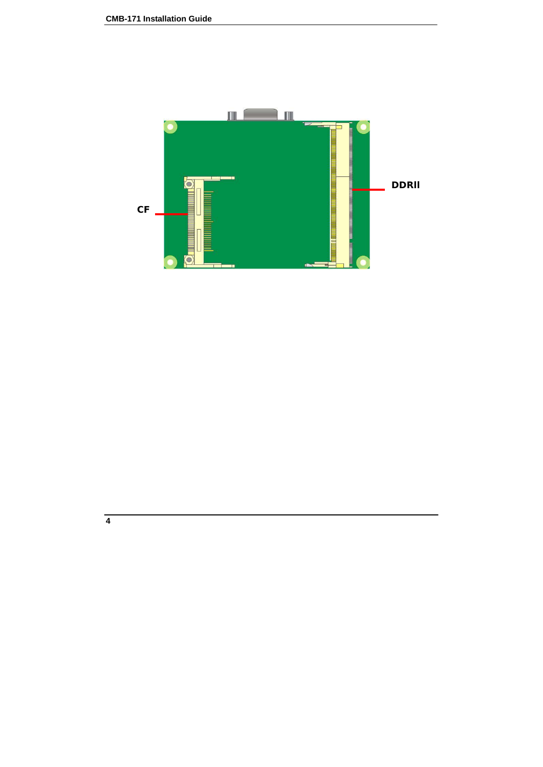

**4**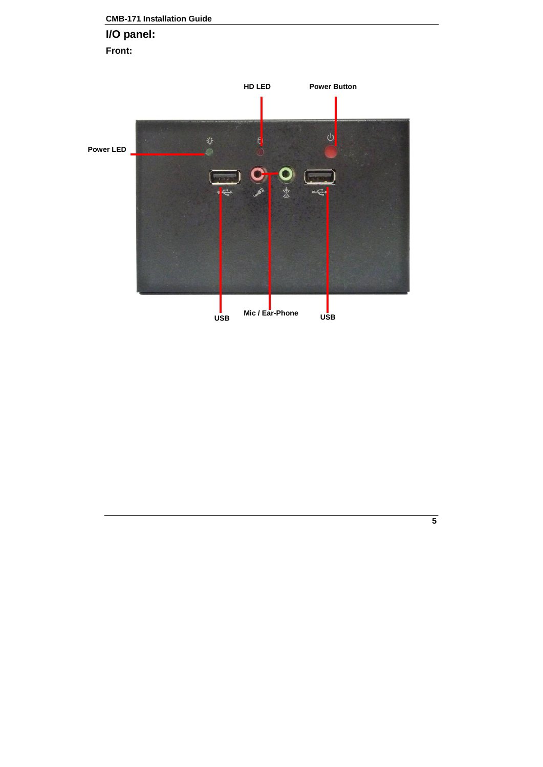**CMB-171 Installation Guide I/O panel: Front:** 

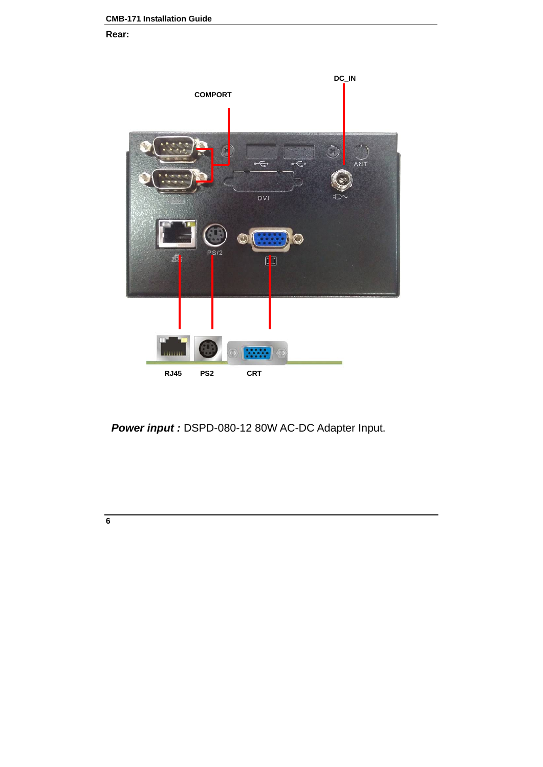**Rear:** 



*Power input :* DSPD-080-12 80W AC-DC Adapter Input.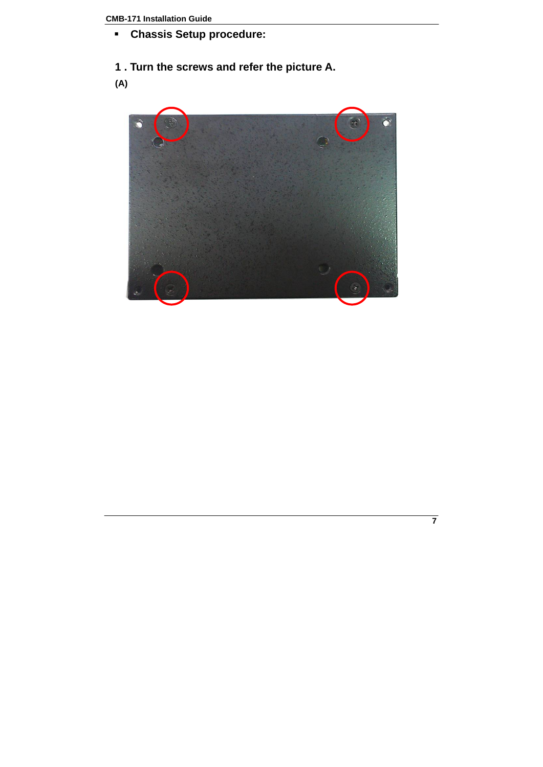- **Chassis Setup procedure:**
- **1 . Turn the screws and refer the picture A.**

**(A)** 

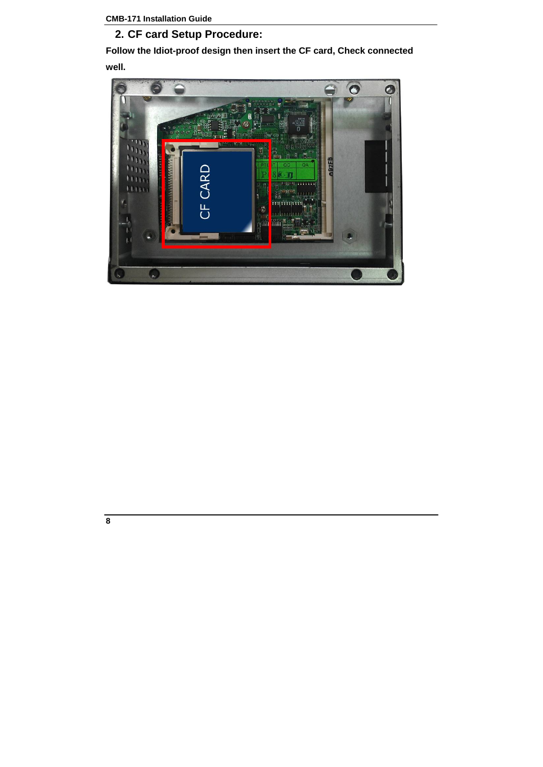**2. CF card Setup Procedure:** 

**Follow the Idiot-proof design then insert the CF card, Check connected well.** 

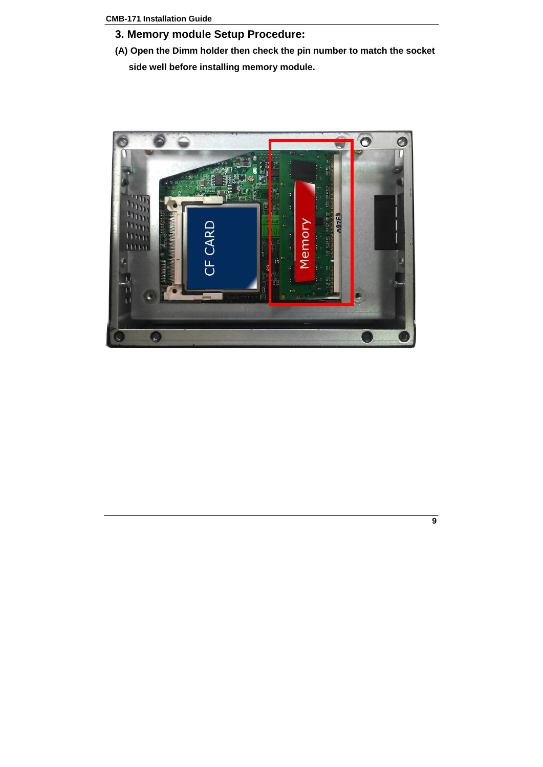- **3. Memory module Setup Procedure:**
- **(A) Open the Dimm holder then check the pin number to match the socket side well before installing memory module.**



**9**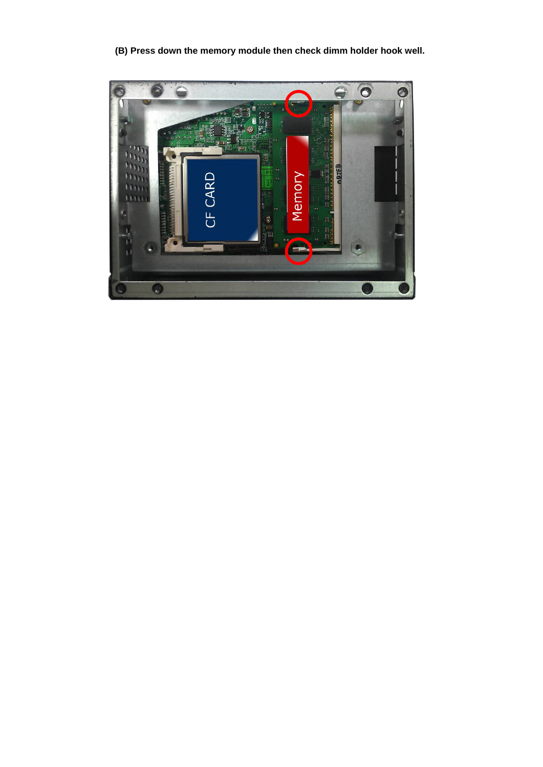**(B) Press down the memory module then check dimm holder hook well.**

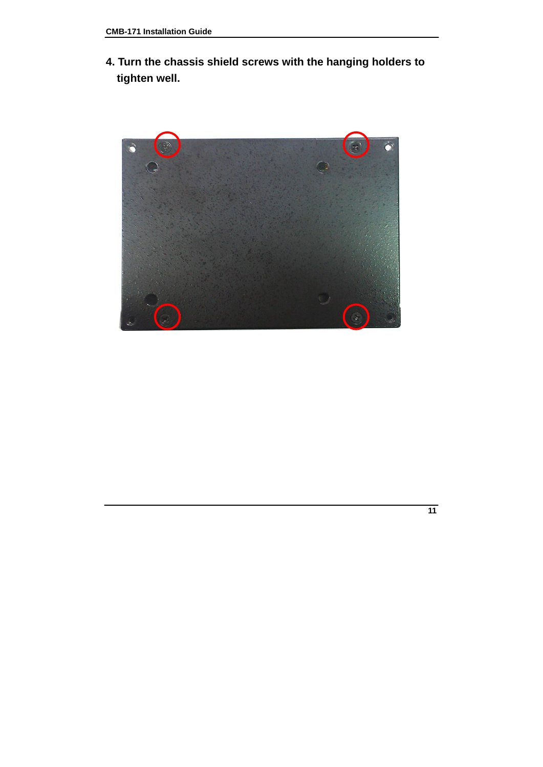**4. Turn the chassis shield screws with the hanging holders to tighten well.** 



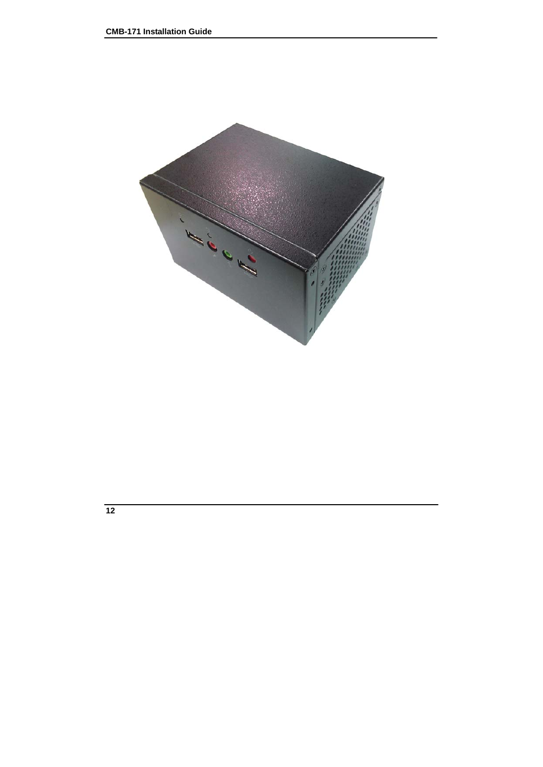

$$
\overline{\mathbf{12}}
$$